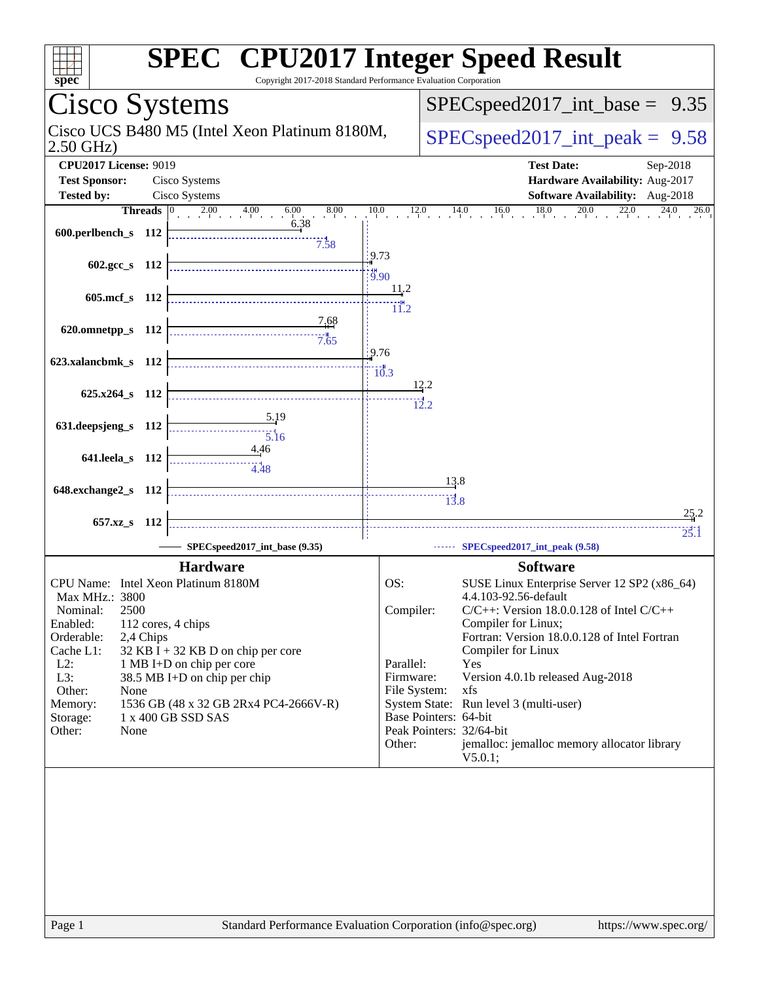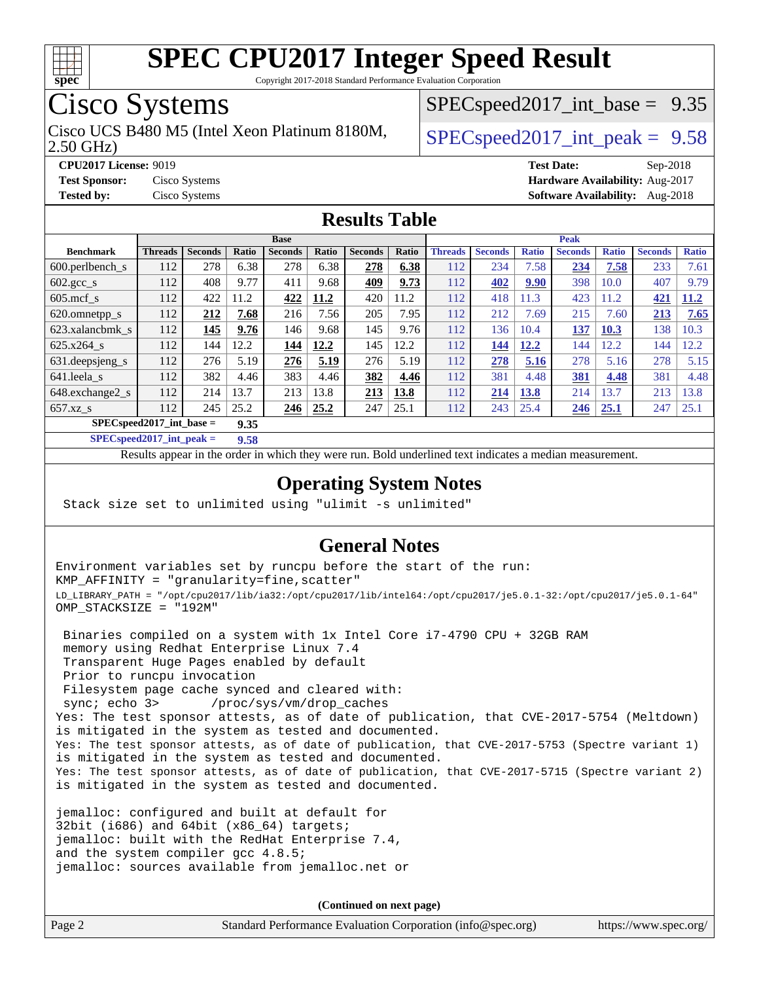

Copyright 2017-2018 Standard Performance Evaluation Corporation

### Cisco Systems

2.50 GHz) Cisco UCS B480 M5 (Intel Xeon Platinum 8180M,  $\big|$  [SPECspeed2017\\_int\\_peak =](http://www.spec.org/auto/cpu2017/Docs/result-fields.html#SPECspeed2017intpeak) 9.58

 $SPECspeed2017\_int\_base = 9.35$ 

**[CPU2017 License:](http://www.spec.org/auto/cpu2017/Docs/result-fields.html#CPU2017License)** 9019 **[Test Date:](http://www.spec.org/auto/cpu2017/Docs/result-fields.html#TestDate)** Sep-2018 **[Test Sponsor:](http://www.spec.org/auto/cpu2017/Docs/result-fields.html#TestSponsor)** Cisco Systems **[Hardware Availability:](http://www.spec.org/auto/cpu2017/Docs/result-fields.html#HardwareAvailability)** Aug-2017 **[Tested by:](http://www.spec.org/auto/cpu2017/Docs/result-fields.html#Testedby)** Cisco Systems **[Software Availability:](http://www.spec.org/auto/cpu2017/Docs/result-fields.html#SoftwareAvailability)** Aug-2018

### **[Results Table](http://www.spec.org/auto/cpu2017/Docs/result-fields.html#ResultsTable)**

|                                    | <b>Base</b>    |                |       |                |       | <b>Peak</b>    |       |                |                |              |                |              |                |              |
|------------------------------------|----------------|----------------|-------|----------------|-------|----------------|-------|----------------|----------------|--------------|----------------|--------------|----------------|--------------|
| <b>Benchmark</b>                   | <b>Threads</b> | <b>Seconds</b> | Ratio | <b>Seconds</b> | Ratio | <b>Seconds</b> | Ratio | <b>Threads</b> | <b>Seconds</b> | <b>Ratio</b> | <b>Seconds</b> | <b>Ratio</b> | <b>Seconds</b> | <b>Ratio</b> |
| $600.$ perlbench $\mathsf{S}$      | 112            | 278            | 6.38  | 278            | 6.38  | 278            | 6.38  | 112            | 234            | 7.58         | 234            | 7.58         | 233            | 7.61         |
| $602.\text{gcc}\_\text{s}$         | 112            | 408            | 9.77  | 411            | 9.68  | 409            | 9.73  | 112            | 402            | 9.90         | 398            | 10.0         | 407            | 9.79         |
| $605$ .mcf s                       | 112            | 422            | 11.2  | 422            | 11.2  | 420            | 11.2  | 112            | 418            | 11.3         | 423            | 11.2         | 421            | <b>11.2</b>  |
| 620.omnetpp_s                      | 112            | 212            | 7.68  | 216            | 7.56  | 205            | 7.95  | 112            | 212            | 7.69         | 215            | 7.60         | 213            | 7.65         |
| 623.xalancbmk s                    | 112            | 145            | 9.76  | 146            | 9.68  | 145            | 9.76  | 112            | 136            | 10.4         | 137            | 10.3         | 138            | 10.3         |
| $625.x264$ s                       | 112            | 144            | 12.2  | 144            | 12.2  | 145            | 12.2  | 112            | 144            | 12.2         | 144            | 12.2         | 144            | 12.2         |
| 631.deepsjeng_s                    | 112            | 276            | 5.19  | 276            | 5.19  | 276            | 5.19  | 112            | 278            | 5.16         | 278            | 5.16         | 278            | 5.15         |
| 641.leela s                        | 112            | 382            | 4.46  | 383            | 4.46  | 382            | 4.46  | 112            | 381            | 4.48         | 381            | 4.48         | 381            | 4.48         |
| 648.exchange2_s                    | 112            | 214            | 13.7  | 213            | 13.8  | 213            | 13.8  | 112            | 214            | 13.8         | 214            | 13.7         | 213            | 13.8         |
| $657.xz$ s                         | 112            | 245            | 25.2  | 246            | 25.2  | 247            | 25.1  | 112            | 243            | 25.4         | 246            | 25.1         | 247            | 25.1         |
| $SPECspeed2017$ int base =<br>9.35 |                |                |       |                |       |                |       |                |                |              |                |              |                |              |

**[SPECspeed2017\\_int\\_peak =](http://www.spec.org/auto/cpu2017/Docs/result-fields.html#SPECspeed2017intpeak) 9.58**

Results appear in the [order in which they were run.](http://www.spec.org/auto/cpu2017/Docs/result-fields.html#RunOrder) Bold underlined text [indicates a median measurement](http://www.spec.org/auto/cpu2017/Docs/result-fields.html#Median).

#### **[Operating System Notes](http://www.spec.org/auto/cpu2017/Docs/result-fields.html#OperatingSystemNotes)**

Stack size set to unlimited using "ulimit -s unlimited"

#### **[General Notes](http://www.spec.org/auto/cpu2017/Docs/result-fields.html#GeneralNotes)**

Environment variables set by runcpu before the start of the run: KMP\_AFFINITY = "granularity=fine,scatter" LD\_LIBRARY\_PATH = "/opt/cpu2017/lib/ia32:/opt/cpu2017/lib/intel64:/opt/cpu2017/je5.0.1-32:/opt/cpu2017/je5.0.1-64" OMP\_STACKSIZE = "192M"

 Binaries compiled on a system with 1x Intel Core i7-4790 CPU + 32GB RAM memory using Redhat Enterprise Linux 7.4 Transparent Huge Pages enabled by default Prior to runcpu invocation Filesystem page cache synced and cleared with: sync; echo 3> /proc/sys/vm/drop\_caches Yes: The test sponsor attests, as of date of publication, that CVE-2017-5754 (Meltdown) is mitigated in the system as tested and documented. Yes: The test sponsor attests, as of date of publication, that CVE-2017-5753 (Spectre variant 1) is mitigated in the system as tested and documented. Yes: The test sponsor attests, as of date of publication, that CVE-2017-5715 (Spectre variant 2) is mitigated in the system as tested and documented.

jemalloc: configured and built at default for 32bit (i686) and 64bit (x86\_64) targets; jemalloc: built with the RedHat Enterprise 7.4, and the system compiler gcc 4.8.5; jemalloc: sources available from jemalloc.net or

**(Continued on next page)**

| Page 2 | Standard Performance Evaluation Corporation (info@spec.org) | https://www.spec.org/ |
|--------|-------------------------------------------------------------|-----------------------|
|--------|-------------------------------------------------------------|-----------------------|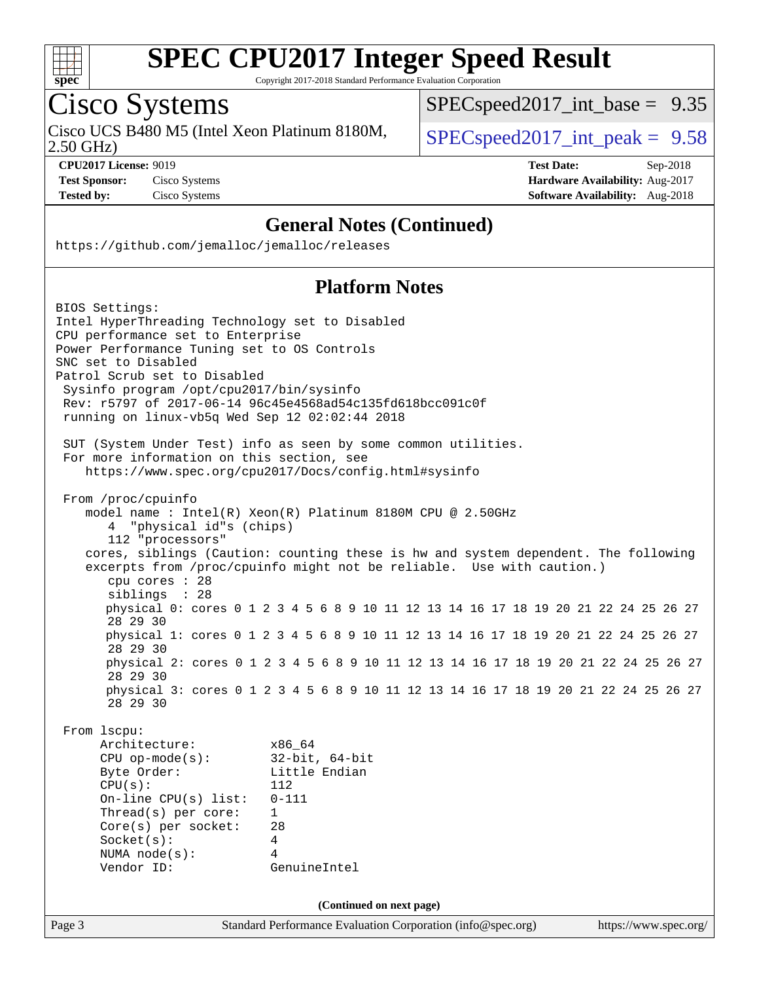

Copyright 2017-2018 Standard Performance Evaluation Corporation

### Cisco Systems

2.50 GHz) Cisco UCS B480 M5 (Intel Xeon Platinum 8180M,  $SPEC speed2017\_int\_peak = 9.58$ 

[SPECspeed2017\\_int\\_base =](http://www.spec.org/auto/cpu2017/Docs/result-fields.html#SPECspeed2017intbase) 9.35

**[CPU2017 License:](http://www.spec.org/auto/cpu2017/Docs/result-fields.html#CPU2017License)** 9019 **[Test Date:](http://www.spec.org/auto/cpu2017/Docs/result-fields.html#TestDate)** Sep-2018 **[Test Sponsor:](http://www.spec.org/auto/cpu2017/Docs/result-fields.html#TestSponsor)** Cisco Systems **[Hardware Availability:](http://www.spec.org/auto/cpu2017/Docs/result-fields.html#HardwareAvailability)** Aug-2017 **[Tested by:](http://www.spec.org/auto/cpu2017/Docs/result-fields.html#Testedby)** Cisco Systems **[Software Availability:](http://www.spec.org/auto/cpu2017/Docs/result-fields.html#SoftwareAvailability)** Aug-2018

#### **[General Notes \(Continued\)](http://www.spec.org/auto/cpu2017/Docs/result-fields.html#GeneralNotes)**

<https://github.com/jemalloc/jemalloc/releases>

#### **[Platform Notes](http://www.spec.org/auto/cpu2017/Docs/result-fields.html#PlatformNotes)**

|        | BIOS Settings:                                                                                              |                                                             |                          |  |  |  |                       |  |
|--------|-------------------------------------------------------------------------------------------------------------|-------------------------------------------------------------|--------------------------|--|--|--|-----------------------|--|
|        | Intel HyperThreading Technology set to Disabled                                                             |                                                             |                          |  |  |  |                       |  |
|        | CPU performance set to Enterprise                                                                           |                                                             |                          |  |  |  |                       |  |
|        | Power Performance Tuning set to OS Controls                                                                 |                                                             |                          |  |  |  |                       |  |
|        | SNC set to Disabled                                                                                         |                                                             |                          |  |  |  |                       |  |
|        | Patrol Scrub set to Disabled                                                                                |                                                             |                          |  |  |  |                       |  |
|        | Sysinfo program /opt/cpu2017/bin/sysinfo                                                                    |                                                             |                          |  |  |  |                       |  |
|        | Rev: r5797 of 2017-06-14 96c45e4568ad54c135fd618bcc091c0f                                                   |                                                             |                          |  |  |  |                       |  |
|        | running on linux-vb5q Wed Sep 12 02:02:44 2018                                                              |                                                             |                          |  |  |  |                       |  |
|        |                                                                                                             |                                                             |                          |  |  |  |                       |  |
|        | SUT (System Under Test) info as seen by some common utilities.<br>For more information on this section, see |                                                             |                          |  |  |  |                       |  |
|        | https://www.spec.org/cpu2017/Docs/config.html#sysinfo                                                       |                                                             |                          |  |  |  |                       |  |
|        |                                                                                                             |                                                             |                          |  |  |  |                       |  |
|        | From /proc/cpuinfo                                                                                          |                                                             |                          |  |  |  |                       |  |
|        | model name: $Intel(R)$ Xeon(R) Platinum 8180M CPU @ 2.50GHz                                                 |                                                             |                          |  |  |  |                       |  |
|        | "physical id"s (chips)                                                                                      |                                                             |                          |  |  |  |                       |  |
|        | 112 "processors"                                                                                            |                                                             |                          |  |  |  |                       |  |
|        | cores, siblings (Caution: counting these is hw and system dependent. The following                          |                                                             |                          |  |  |  |                       |  |
|        | excerpts from /proc/cpuinfo might not be reliable. Use with caution.)                                       |                                                             |                          |  |  |  |                       |  |
|        | cpu cores : 28                                                                                              |                                                             |                          |  |  |  |                       |  |
|        | siblings : 28                                                                                               |                                                             |                          |  |  |  |                       |  |
|        | physical 0: cores 0 1 2 3 4 5 6 8 9 10 11 12 13 14 16 17 18 19 20 21 22 24 25 26 27                         |                                                             |                          |  |  |  |                       |  |
|        | 28 29 30                                                                                                    |                                                             |                          |  |  |  |                       |  |
|        | physical 1: cores 0 1 2 3 4 5 6 8 9 10 11 12 13 14 16 17 18 19 20 21 22 24 25 26 27<br>28 29 30             |                                                             |                          |  |  |  |                       |  |
|        | physical 2: cores 0 1 2 3 4 5 6 8 9 10 11 12 13 14 16 17 18 19 20 21 22 24 25 26 27                         |                                                             |                          |  |  |  |                       |  |
|        | 28 29 30                                                                                                    |                                                             |                          |  |  |  |                       |  |
|        | physical 3: cores 0 1 2 3 4 5 6 8 9 10 11 12 13 14 16 17 18 19 20 21 22 24 25 26 27                         |                                                             |                          |  |  |  |                       |  |
|        | 28 29 30                                                                                                    |                                                             |                          |  |  |  |                       |  |
|        |                                                                                                             |                                                             |                          |  |  |  |                       |  |
|        | From 1scpu:                                                                                                 |                                                             |                          |  |  |  |                       |  |
|        | Architecture:                                                                                               | x86_64                                                      |                          |  |  |  |                       |  |
|        | $CPU$ op-mode( $s$ ):                                                                                       | $32$ -bit, $64$ -bit                                        |                          |  |  |  |                       |  |
|        | Byte Order:                                                                                                 | Little Endian                                               |                          |  |  |  |                       |  |
|        | CPU(s):                                                                                                     | 112                                                         |                          |  |  |  |                       |  |
|        | $On$ -line CPU $(s)$ list:                                                                                  | $0 - 111$                                                   |                          |  |  |  |                       |  |
|        | Thread( $s$ ) per core:                                                                                     | $\mathbf{1}$                                                |                          |  |  |  |                       |  |
|        | $Core(s)$ per socket:                                                                                       | 28                                                          |                          |  |  |  |                       |  |
|        | Socket(s):                                                                                                  | 4                                                           |                          |  |  |  |                       |  |
|        | NUMA $node(s):$                                                                                             | 4                                                           |                          |  |  |  |                       |  |
|        | Vendor ID:                                                                                                  | GenuineIntel                                                |                          |  |  |  |                       |  |
|        |                                                                                                             |                                                             |                          |  |  |  |                       |  |
|        |                                                                                                             |                                                             | (Continued on next page) |  |  |  |                       |  |
| Page 3 |                                                                                                             | Standard Performance Evaluation Corporation (info@spec.org) |                          |  |  |  | https://www.spec.org/ |  |
|        |                                                                                                             |                                                             |                          |  |  |  |                       |  |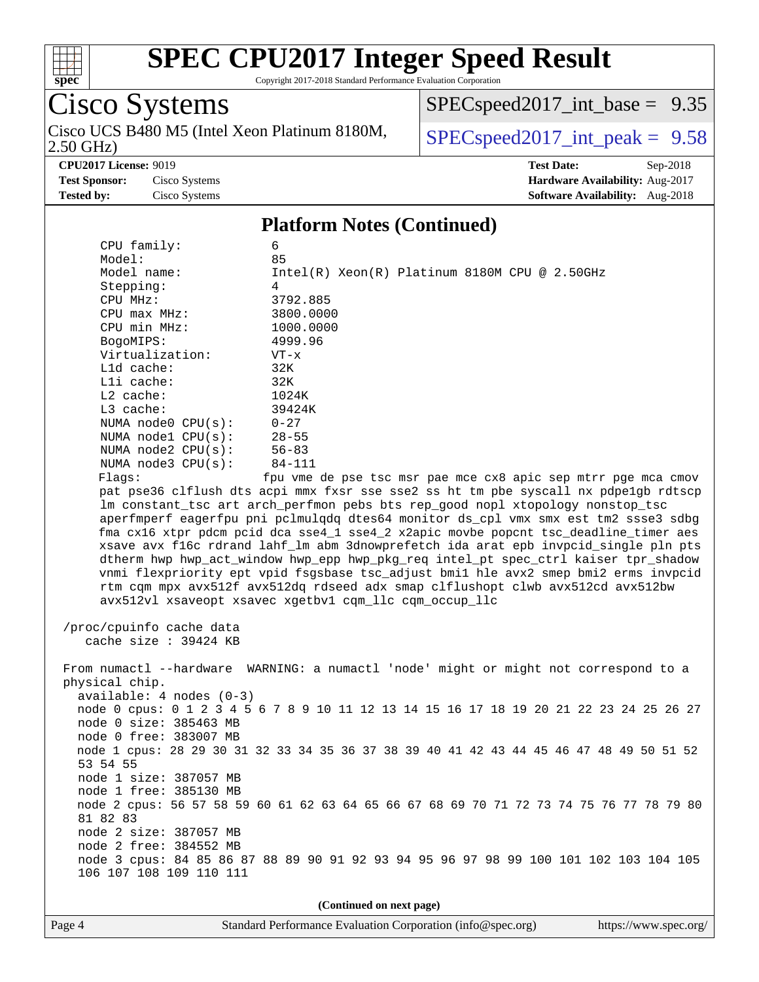

Copyright 2017-2018 Standard Performance Evaluation Corporation

# Cisco Systems<br>Cisco UCS B480 M5 (Intel Xeon Platinum 8180M,

2.50 GHz)

[SPECspeed2017\\_int\\_base =](http://www.spec.org/auto/cpu2017/Docs/result-fields.html#SPECspeed2017intbase) 9.35

 $SPEC speed2017\_int\_peak = 9.58$ 

**[CPU2017 License:](http://www.spec.org/auto/cpu2017/Docs/result-fields.html#CPU2017License)** 9019 **[Test Date:](http://www.spec.org/auto/cpu2017/Docs/result-fields.html#TestDate)** Sep-2018 **[Test Sponsor:](http://www.spec.org/auto/cpu2017/Docs/result-fields.html#TestSponsor)** Cisco Systems **[Hardware Availability:](http://www.spec.org/auto/cpu2017/Docs/result-fields.html#HardwareAvailability)** Aug-2017 **[Tested by:](http://www.spec.org/auto/cpu2017/Docs/result-fields.html#Testedby)** Cisco Systems **[Software Availability:](http://www.spec.org/auto/cpu2017/Docs/result-fields.html#SoftwareAvailability)** Aug-2018

#### **[Platform Notes \(Continued\)](http://www.spec.org/auto/cpu2017/Docs/result-fields.html#PlatformNotes)**

| CPU family:                | 6                                                                                       |  |  |  |  |  |
|----------------------------|-----------------------------------------------------------------------------------------|--|--|--|--|--|
| Model:                     | 85                                                                                      |  |  |  |  |  |
| Model name:                | Intel(R) Xeon(R) Platinum 8180M CPU @ 2.50GHz                                           |  |  |  |  |  |
| Stepping:                  | 4                                                                                       |  |  |  |  |  |
| CPU MHz:                   | 3792.885                                                                                |  |  |  |  |  |
| $CPU$ max $MHz$ :          | 3800.0000                                                                               |  |  |  |  |  |
| CPU min MHz:               | 1000.0000                                                                               |  |  |  |  |  |
| BogoMIPS:                  | 4999.96                                                                                 |  |  |  |  |  |
| Virtualization:            | $VT - x$                                                                                |  |  |  |  |  |
| L1d cache:                 | 32K                                                                                     |  |  |  |  |  |
| Lli cache:                 | 32K                                                                                     |  |  |  |  |  |
| $L2$ cache:                | 1024K                                                                                   |  |  |  |  |  |
| $L3$ cache:                | 39424K                                                                                  |  |  |  |  |  |
| NUMA $node0$ $CPU(s):$     | $0 - 27$                                                                                |  |  |  |  |  |
| NUMA $node1$ $CPU(s):$     | $28 - 55$                                                                               |  |  |  |  |  |
| NUMA $node2$ $CPU(s):$     | $56 - 83$                                                                               |  |  |  |  |  |
| NUMA $node3$ $CPU(s):$     | 84-111                                                                                  |  |  |  |  |  |
| Flags:                     | fpu vme de pse tsc msr pae mce cx8 apic sep mtrr pge mca cmov                           |  |  |  |  |  |
|                            | pat pse36 clflush dts acpi mmx fxsr sse sse2 ss ht tm pbe syscall nx pdpelgb rdtscp     |  |  |  |  |  |
|                            | lm constant_tsc art arch_perfmon pebs bts rep_good nopl xtopology nonstop_tsc           |  |  |  |  |  |
|                            | aperfmperf eagerfpu pni pclmulqdq dtes64 monitor ds_cpl vmx smx est tm2 ssse3 sdbg      |  |  |  |  |  |
|                            | fma cx16 xtpr pdcm pcid dca sse4_1 sse4_2 x2apic movbe popcnt tsc_deadline_timer aes    |  |  |  |  |  |
|                            | xsave avx f16c rdrand lahf lm abm 3dnowprefetch ida arat epb invpcid single pln pts     |  |  |  |  |  |
|                            | dtherm hwp hwp_act_window hwp_epp hwp_pkg_req intel_pt spec_ctrl kaiser tpr_shadow      |  |  |  |  |  |
|                            | vnmi flexpriority ept vpid fsgsbase tsc_adjust bmil hle avx2 smep bmi2 erms invpcid     |  |  |  |  |  |
|                            | rtm cqm mpx avx512f avx512dq rdseed adx smap clflushopt clwb avx512cd avx512bw          |  |  |  |  |  |
|                            | avx512vl xsaveopt xsavec xgetbv1 cqm_llc cqm_occup_llc                                  |  |  |  |  |  |
|                            |                                                                                         |  |  |  |  |  |
| /proc/cpuinfo cache data   |                                                                                         |  |  |  |  |  |
| cache size : 39424 KB      |                                                                                         |  |  |  |  |  |
|                            |                                                                                         |  |  |  |  |  |
|                            | From numactl --hardware WARNING: a numactl 'node' might or might not correspond to a    |  |  |  |  |  |
| physical chip.             |                                                                                         |  |  |  |  |  |
| $available: 4 nodes (0-3)$ |                                                                                         |  |  |  |  |  |
|                            | node 0 cpus: 0 1 2 3 4 5 6 7 8 9 10 11 12 13 14 15 16 17 18 19 20 21 22 23 24 25 26 27  |  |  |  |  |  |
| node 0 size: 385463 MB     |                                                                                         |  |  |  |  |  |
|                            |                                                                                         |  |  |  |  |  |
| node 0 free: 383007 MB     |                                                                                         |  |  |  |  |  |
|                            | node 1 cpus: 28 29 30 31 32 33 34 35 36 37 38 39 40 41 42 43 44 45 46 47 48 49 50 51 52 |  |  |  |  |  |
| 53 54 55                   |                                                                                         |  |  |  |  |  |
| node 1 size: 387057 MB     |                                                                                         |  |  |  |  |  |
| node 1 free: 385130 MB     |                                                                                         |  |  |  |  |  |
|                            | node 2 cpus: 56 57 58 59 60 61 62 63 64 65 66 67 68 69 70 71 72 73 74 75 76 77 78 79 80 |  |  |  |  |  |
| 81 82 83                   |                                                                                         |  |  |  |  |  |
| node 2 size: 387057 MB     |                                                                                         |  |  |  |  |  |
| node 2 free: 384552 MB     |                                                                                         |  |  |  |  |  |
|                            | node 3 cpus: 84 85 86 87 88 89 90 91 92 93 94 95 96 97 98 99 100 101 102 103 104 105    |  |  |  |  |  |
| 106 107 108 109 110 111    |                                                                                         |  |  |  |  |  |

**(Continued on next page)**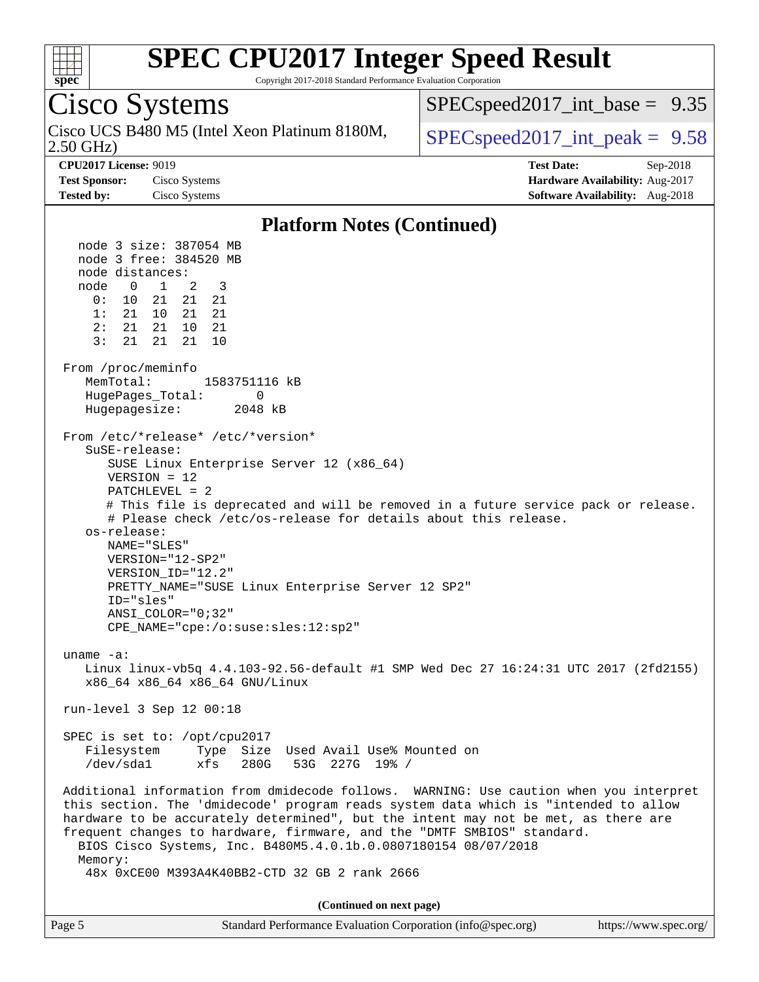

Copyright 2017-2018 Standard Performance Evaluation Corporation

#### Cisco Systems 2.50 GHz) Cisco UCS B480 M5 (Intel Xeon Platinum 8180M,  $\big|$  [SPECspeed2017\\_int\\_peak =](http://www.spec.org/auto/cpu2017/Docs/result-fields.html#SPECspeed2017intpeak) 9.58  $SPECspeed2017\_int\_base = 9.35$ **[CPU2017 License:](http://www.spec.org/auto/cpu2017/Docs/result-fields.html#CPU2017License)** 9019 **[Test Date:](http://www.spec.org/auto/cpu2017/Docs/result-fields.html#TestDate)** Sep-2018 **[Test Sponsor:](http://www.spec.org/auto/cpu2017/Docs/result-fields.html#TestSponsor)** Cisco Systems **[Hardware Availability:](http://www.spec.org/auto/cpu2017/Docs/result-fields.html#HardwareAvailability)** Aug-2017 **[Tested by:](http://www.spec.org/auto/cpu2017/Docs/result-fields.html#Testedby)** Cisco Systems **[Software Availability:](http://www.spec.org/auto/cpu2017/Docs/result-fields.html#SoftwareAvailability)** Aug-2018 **[Platform Notes \(Continued\)](http://www.spec.org/auto/cpu2017/Docs/result-fields.html#PlatformNotes)** node 3 size: 387054 MB node 3 free: 384520 MB node distances: node 0 1 2 3 0: 10 21 21 21 1: 21 10 21 21 2: 21 21 10 21 3: 21 21 21 10 From /proc/meminfo MemTotal: 1583751116 kB HugePages Total: 0 Hugepagesize: 2048 kB From /etc/\*release\* /etc/\*version\* SuSE-release: SUSE Linux Enterprise Server 12 (x86\_64) VERSION = 12 PATCHLEVEL = 2 # This file is deprecated and will be removed in a future service pack or release. # Please check /etc/os-release for details about this release. os-release:

 NAME="SLES" VERSION="12-SP2" VERSION\_ID="12.2" PRETTY\_NAME="SUSE Linux Enterprise Server 12 SP2" ID="sles" ANSI\_COLOR="0;32" CPE\_NAME="cpe:/o:suse:sles:12:sp2"

uname -a:

 Linux linux-vb5q 4.4.103-92.56-default #1 SMP Wed Dec 27 16:24:31 UTC 2017 (2fd2155) x86\_64 x86\_64 x86\_64 GNU/Linux

run-level 3 Sep 12 00:18

 SPEC is set to: /opt/cpu2017 Filesystem Type Size Used Avail Use% Mounted on /dev/sda1 xfs 280G 53G 227G 19% /

 Additional information from dmidecode follows. WARNING: Use caution when you interpret this section. The 'dmidecode' program reads system data which is "intended to allow hardware to be accurately determined", but the intent may not be met, as there are frequent changes to hardware, firmware, and the "DMTF SMBIOS" standard. BIOS Cisco Systems, Inc. B480M5.4.0.1b.0.0807180154 08/07/2018 Memory: 48x 0xCE00 M393A4K40BB2-CTD 32 GB 2 rank 2666

**(Continued on next page)**

| Page 5 | Standard Performance Evaluation Corporation (info@spec.org) | https://www.spec.org/ |
|--------|-------------------------------------------------------------|-----------------------|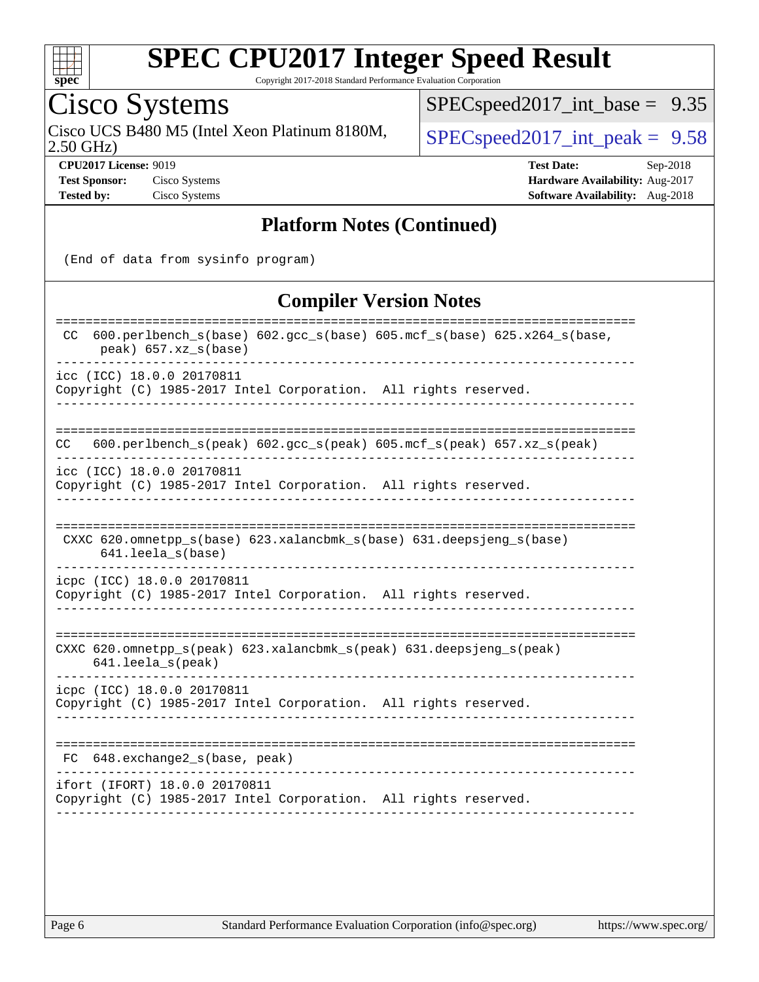

Copyright 2017-2018 Standard Performance Evaluation Corporation

### Cisco Systems

2.50 GHz) Cisco UCS B480 M5 (Intel Xeon Platinum 8180M,  $SPEC speed2017\_int\_peak = 9.58$ 

[SPECspeed2017\\_int\\_base =](http://www.spec.org/auto/cpu2017/Docs/result-fields.html#SPECspeed2017intbase) 9.35

**[CPU2017 License:](http://www.spec.org/auto/cpu2017/Docs/result-fields.html#CPU2017License)** 9019 **[Test Date:](http://www.spec.org/auto/cpu2017/Docs/result-fields.html#TestDate)** Sep-2018 **[Test Sponsor:](http://www.spec.org/auto/cpu2017/Docs/result-fields.html#TestSponsor)** Cisco Systems **[Hardware Availability:](http://www.spec.org/auto/cpu2017/Docs/result-fields.html#HardwareAvailability)** Aug-2017 **[Tested by:](http://www.spec.org/auto/cpu2017/Docs/result-fields.html#Testedby)** Cisco Systems **[Software Availability:](http://www.spec.org/auto/cpu2017/Docs/result-fields.html#SoftwareAvailability)** Aug-2018

#### **[Platform Notes \(Continued\)](http://www.spec.org/auto/cpu2017/Docs/result-fields.html#PlatformNotes)**

(End of data from sysinfo program)

#### **[Compiler Version Notes](http://www.spec.org/auto/cpu2017/Docs/result-fields.html#CompilerVersionNotes)**

| $600. perlbench_s(base) 602. gcc_s(base) 605.mcf_s(base) 625.x264_s(base)$<br>CC.<br>$peak)$ 657.xz_s(base) |
|-------------------------------------------------------------------------------------------------------------|
| icc (ICC) 18.0.0 20170811<br>Copyright (C) 1985-2017 Intel Corporation. All rights reserved.                |
| $600. perlbench_s (peak) 602. gcc_s (peak) 605. mcf_s (peak) 657. xz_s (peak)$<br>CC.                       |
| icc (ICC) 18.0.0 20170811<br>Copyright (C) 1985-2017 Intel Corporation. All rights reserved.                |
| CXXC 620.omnetpp $s(base)$ 623.xalancbmk $s(base)$ 631.deepsjeng $s(base)$<br>$641.$ leela_s(base)          |
| icpc (ICC) 18.0.0 20170811<br>Copyright (C) 1985-2017 Intel Corporation. All rights reserved.               |
| CXXC 620.omnetpp_s(peak) 623.xalancbmk_s(peak) 631.deepsjeng_s(peak)<br>641.leela_s(peak)                   |
| icpc (ICC) 18.0.0 20170811<br>Copyright (C) 1985-2017 Intel Corporation. All rights reserved.               |
| 648.exchange2_s(base, peak)<br>FC.                                                                          |
| ifort (IFORT) 18.0.0 20170811<br>Copyright (C) 1985-2017 Intel Corporation. All rights reserved.            |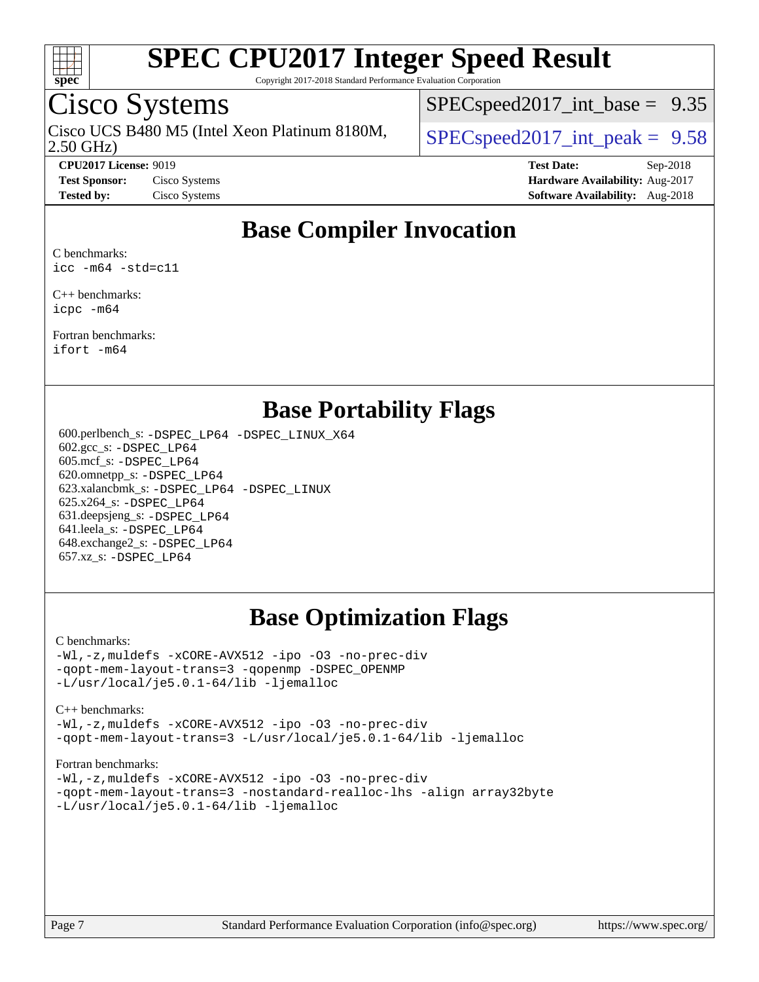

Copyright 2017-2018 Standard Performance Evaluation Corporation

### Cisco Systems

2.50 GHz) Cisco UCS B480 M5 (Intel Xeon Platinum 8180M,  $\big|$  [SPECspeed2017\\_int\\_peak =](http://www.spec.org/auto/cpu2017/Docs/result-fields.html#SPECspeed2017intpeak) 9.58

 $SPECspeed2017\_int\_base = 9.35$ 

**[CPU2017 License:](http://www.spec.org/auto/cpu2017/Docs/result-fields.html#CPU2017License)** 9019 **[Test Date:](http://www.spec.org/auto/cpu2017/Docs/result-fields.html#TestDate)** Sep-2018 **[Test Sponsor:](http://www.spec.org/auto/cpu2017/Docs/result-fields.html#TestSponsor)** Cisco Systems **[Hardware Availability:](http://www.spec.org/auto/cpu2017/Docs/result-fields.html#HardwareAvailability)** Aug-2017 **[Tested by:](http://www.spec.org/auto/cpu2017/Docs/result-fields.html#Testedby)** Cisco Systems **[Software Availability:](http://www.spec.org/auto/cpu2017/Docs/result-fields.html#SoftwareAvailability)** Aug-2018

### **[Base Compiler Invocation](http://www.spec.org/auto/cpu2017/Docs/result-fields.html#BaseCompilerInvocation)**

[C benchmarks:](http://www.spec.org/auto/cpu2017/Docs/result-fields.html#Cbenchmarks) [icc -m64 -std=c11](http://www.spec.org/cpu2017/results/res2018q4/cpu2017-20180918-08909.flags.html#user_CCbase_intel_icc_64bit_c11_33ee0cdaae7deeeab2a9725423ba97205ce30f63b9926c2519791662299b76a0318f32ddfffdc46587804de3178b4f9328c46fa7c2b0cd779d7a61945c91cd35)

[C++ benchmarks](http://www.spec.org/auto/cpu2017/Docs/result-fields.html#CXXbenchmarks): [icpc -m64](http://www.spec.org/cpu2017/results/res2018q4/cpu2017-20180918-08909.flags.html#user_CXXbase_intel_icpc_64bit_4ecb2543ae3f1412ef961e0650ca070fec7b7afdcd6ed48761b84423119d1bf6bdf5cad15b44d48e7256388bc77273b966e5eb805aefd121eb22e9299b2ec9d9)

[Fortran benchmarks:](http://www.spec.org/auto/cpu2017/Docs/result-fields.html#Fortranbenchmarks) [ifort -m64](http://www.spec.org/cpu2017/results/res2018q4/cpu2017-20180918-08909.flags.html#user_FCbase_intel_ifort_64bit_24f2bb282fbaeffd6157abe4f878425411749daecae9a33200eee2bee2fe76f3b89351d69a8130dd5949958ce389cf37ff59a95e7a40d588e8d3a57e0c3fd751)

### **[Base Portability Flags](http://www.spec.org/auto/cpu2017/Docs/result-fields.html#BasePortabilityFlags)**

 600.perlbench\_s: [-DSPEC\\_LP64](http://www.spec.org/cpu2017/results/res2018q4/cpu2017-20180918-08909.flags.html#b600.perlbench_s_basePORTABILITY_DSPEC_LP64) [-DSPEC\\_LINUX\\_X64](http://www.spec.org/cpu2017/results/res2018q4/cpu2017-20180918-08909.flags.html#b600.perlbench_s_baseCPORTABILITY_DSPEC_LINUX_X64) 602.gcc\_s: [-DSPEC\\_LP64](http://www.spec.org/cpu2017/results/res2018q4/cpu2017-20180918-08909.flags.html#suite_basePORTABILITY602_gcc_s_DSPEC_LP64) 605.mcf\_s: [-DSPEC\\_LP64](http://www.spec.org/cpu2017/results/res2018q4/cpu2017-20180918-08909.flags.html#suite_basePORTABILITY605_mcf_s_DSPEC_LP64) 620.omnetpp\_s: [-DSPEC\\_LP64](http://www.spec.org/cpu2017/results/res2018q4/cpu2017-20180918-08909.flags.html#suite_basePORTABILITY620_omnetpp_s_DSPEC_LP64) 623.xalancbmk\_s: [-DSPEC\\_LP64](http://www.spec.org/cpu2017/results/res2018q4/cpu2017-20180918-08909.flags.html#suite_basePORTABILITY623_xalancbmk_s_DSPEC_LP64) [-DSPEC\\_LINUX](http://www.spec.org/cpu2017/results/res2018q4/cpu2017-20180918-08909.flags.html#b623.xalancbmk_s_baseCXXPORTABILITY_DSPEC_LINUX) 625.x264\_s: [-DSPEC\\_LP64](http://www.spec.org/cpu2017/results/res2018q4/cpu2017-20180918-08909.flags.html#suite_basePORTABILITY625_x264_s_DSPEC_LP64) 631.deepsjeng\_s: [-DSPEC\\_LP64](http://www.spec.org/cpu2017/results/res2018q4/cpu2017-20180918-08909.flags.html#suite_basePORTABILITY631_deepsjeng_s_DSPEC_LP64) 641.leela\_s: [-DSPEC\\_LP64](http://www.spec.org/cpu2017/results/res2018q4/cpu2017-20180918-08909.flags.html#suite_basePORTABILITY641_leela_s_DSPEC_LP64) 648.exchange2\_s: [-DSPEC\\_LP64](http://www.spec.org/cpu2017/results/res2018q4/cpu2017-20180918-08909.flags.html#suite_basePORTABILITY648_exchange2_s_DSPEC_LP64) 657.xz\_s: [-DSPEC\\_LP64](http://www.spec.org/cpu2017/results/res2018q4/cpu2017-20180918-08909.flags.html#suite_basePORTABILITY657_xz_s_DSPEC_LP64)

### **[Base Optimization Flags](http://www.spec.org/auto/cpu2017/Docs/result-fields.html#BaseOptimizationFlags)**

#### [C benchmarks](http://www.spec.org/auto/cpu2017/Docs/result-fields.html#Cbenchmarks):

[-Wl,-z,muldefs](http://www.spec.org/cpu2017/results/res2018q4/cpu2017-20180918-08909.flags.html#user_CCbase_link_force_multiple1_b4cbdb97b34bdee9ceefcfe54f4c8ea74255f0b02a4b23e853cdb0e18eb4525ac79b5a88067c842dd0ee6996c24547a27a4b99331201badda8798ef8a743f577) [-xCORE-AVX512](http://www.spec.org/cpu2017/results/res2018q4/cpu2017-20180918-08909.flags.html#user_CCbase_f-xCORE-AVX512) [-ipo](http://www.spec.org/cpu2017/results/res2018q4/cpu2017-20180918-08909.flags.html#user_CCbase_f-ipo) [-O3](http://www.spec.org/cpu2017/results/res2018q4/cpu2017-20180918-08909.flags.html#user_CCbase_f-O3) [-no-prec-div](http://www.spec.org/cpu2017/results/res2018q4/cpu2017-20180918-08909.flags.html#user_CCbase_f-no-prec-div) [-qopt-mem-layout-trans=3](http://www.spec.org/cpu2017/results/res2018q4/cpu2017-20180918-08909.flags.html#user_CCbase_f-qopt-mem-layout-trans_de80db37974c74b1f0e20d883f0b675c88c3b01e9d123adea9b28688d64333345fb62bc4a798493513fdb68f60282f9a726aa07f478b2f7113531aecce732043) [-qopenmp](http://www.spec.org/cpu2017/results/res2018q4/cpu2017-20180918-08909.flags.html#user_CCbase_qopenmp_16be0c44f24f464004c6784a7acb94aca937f053568ce72f94b139a11c7c168634a55f6653758ddd83bcf7b8463e8028bb0b48b77bcddc6b78d5d95bb1df2967) [-DSPEC\\_OPENMP](http://www.spec.org/cpu2017/results/res2018q4/cpu2017-20180918-08909.flags.html#suite_CCbase_DSPEC_OPENMP) [-L/usr/local/je5.0.1-64/lib](http://www.spec.org/cpu2017/results/res2018q4/cpu2017-20180918-08909.flags.html#user_CCbase_jemalloc_link_path64_4b10a636b7bce113509b17f3bd0d6226c5fb2346b9178c2d0232c14f04ab830f976640479e5c33dc2bcbbdad86ecfb6634cbbd4418746f06f368b512fced5394) [-ljemalloc](http://www.spec.org/cpu2017/results/res2018q4/cpu2017-20180918-08909.flags.html#user_CCbase_jemalloc_link_lib_d1249b907c500fa1c0672f44f562e3d0f79738ae9e3c4a9c376d49f265a04b9c99b167ecedbf6711b3085be911c67ff61f150a17b3472be731631ba4d0471706)

#### [C++ benchmarks:](http://www.spec.org/auto/cpu2017/Docs/result-fields.html#CXXbenchmarks)

[-Wl,-z,muldefs](http://www.spec.org/cpu2017/results/res2018q4/cpu2017-20180918-08909.flags.html#user_CXXbase_link_force_multiple1_b4cbdb97b34bdee9ceefcfe54f4c8ea74255f0b02a4b23e853cdb0e18eb4525ac79b5a88067c842dd0ee6996c24547a27a4b99331201badda8798ef8a743f577) [-xCORE-AVX512](http://www.spec.org/cpu2017/results/res2018q4/cpu2017-20180918-08909.flags.html#user_CXXbase_f-xCORE-AVX512) [-ipo](http://www.spec.org/cpu2017/results/res2018q4/cpu2017-20180918-08909.flags.html#user_CXXbase_f-ipo) [-O3](http://www.spec.org/cpu2017/results/res2018q4/cpu2017-20180918-08909.flags.html#user_CXXbase_f-O3) [-no-prec-div](http://www.spec.org/cpu2017/results/res2018q4/cpu2017-20180918-08909.flags.html#user_CXXbase_f-no-prec-div) [-qopt-mem-layout-trans=3](http://www.spec.org/cpu2017/results/res2018q4/cpu2017-20180918-08909.flags.html#user_CXXbase_f-qopt-mem-layout-trans_de80db37974c74b1f0e20d883f0b675c88c3b01e9d123adea9b28688d64333345fb62bc4a798493513fdb68f60282f9a726aa07f478b2f7113531aecce732043) [-L/usr/local/je5.0.1-64/lib](http://www.spec.org/cpu2017/results/res2018q4/cpu2017-20180918-08909.flags.html#user_CXXbase_jemalloc_link_path64_4b10a636b7bce113509b17f3bd0d6226c5fb2346b9178c2d0232c14f04ab830f976640479e5c33dc2bcbbdad86ecfb6634cbbd4418746f06f368b512fced5394) [-ljemalloc](http://www.spec.org/cpu2017/results/res2018q4/cpu2017-20180918-08909.flags.html#user_CXXbase_jemalloc_link_lib_d1249b907c500fa1c0672f44f562e3d0f79738ae9e3c4a9c376d49f265a04b9c99b167ecedbf6711b3085be911c67ff61f150a17b3472be731631ba4d0471706)

#### [Fortran benchmarks](http://www.spec.org/auto/cpu2017/Docs/result-fields.html#Fortranbenchmarks):

[-Wl,-z,muldefs](http://www.spec.org/cpu2017/results/res2018q4/cpu2017-20180918-08909.flags.html#user_FCbase_link_force_multiple1_b4cbdb97b34bdee9ceefcfe54f4c8ea74255f0b02a4b23e853cdb0e18eb4525ac79b5a88067c842dd0ee6996c24547a27a4b99331201badda8798ef8a743f577) [-xCORE-AVX512](http://www.spec.org/cpu2017/results/res2018q4/cpu2017-20180918-08909.flags.html#user_FCbase_f-xCORE-AVX512) [-ipo](http://www.spec.org/cpu2017/results/res2018q4/cpu2017-20180918-08909.flags.html#user_FCbase_f-ipo) [-O3](http://www.spec.org/cpu2017/results/res2018q4/cpu2017-20180918-08909.flags.html#user_FCbase_f-O3) [-no-prec-div](http://www.spec.org/cpu2017/results/res2018q4/cpu2017-20180918-08909.flags.html#user_FCbase_f-no-prec-div) [-qopt-mem-layout-trans=3](http://www.spec.org/cpu2017/results/res2018q4/cpu2017-20180918-08909.flags.html#user_FCbase_f-qopt-mem-layout-trans_de80db37974c74b1f0e20d883f0b675c88c3b01e9d123adea9b28688d64333345fb62bc4a798493513fdb68f60282f9a726aa07f478b2f7113531aecce732043) [-nostandard-realloc-lhs](http://www.spec.org/cpu2017/results/res2018q4/cpu2017-20180918-08909.flags.html#user_FCbase_f_2003_std_realloc_82b4557e90729c0f113870c07e44d33d6f5a304b4f63d4c15d2d0f1fab99f5daaed73bdb9275d9ae411527f28b936061aa8b9c8f2d63842963b95c9dd6426b8a) [-align array32byte](http://www.spec.org/cpu2017/results/res2018q4/cpu2017-20180918-08909.flags.html#user_FCbase_align_array32byte_b982fe038af199962ba9a80c053b8342c548c85b40b8e86eb3cc33dee0d7986a4af373ac2d51c3f7cf710a18d62fdce2948f201cd044323541f22fc0fffc51b6) [-L/usr/local/je5.0.1-64/lib](http://www.spec.org/cpu2017/results/res2018q4/cpu2017-20180918-08909.flags.html#user_FCbase_jemalloc_link_path64_4b10a636b7bce113509b17f3bd0d6226c5fb2346b9178c2d0232c14f04ab830f976640479e5c33dc2bcbbdad86ecfb6634cbbd4418746f06f368b512fced5394) [-ljemalloc](http://www.spec.org/cpu2017/results/res2018q4/cpu2017-20180918-08909.flags.html#user_FCbase_jemalloc_link_lib_d1249b907c500fa1c0672f44f562e3d0f79738ae9e3c4a9c376d49f265a04b9c99b167ecedbf6711b3085be911c67ff61f150a17b3472be731631ba4d0471706)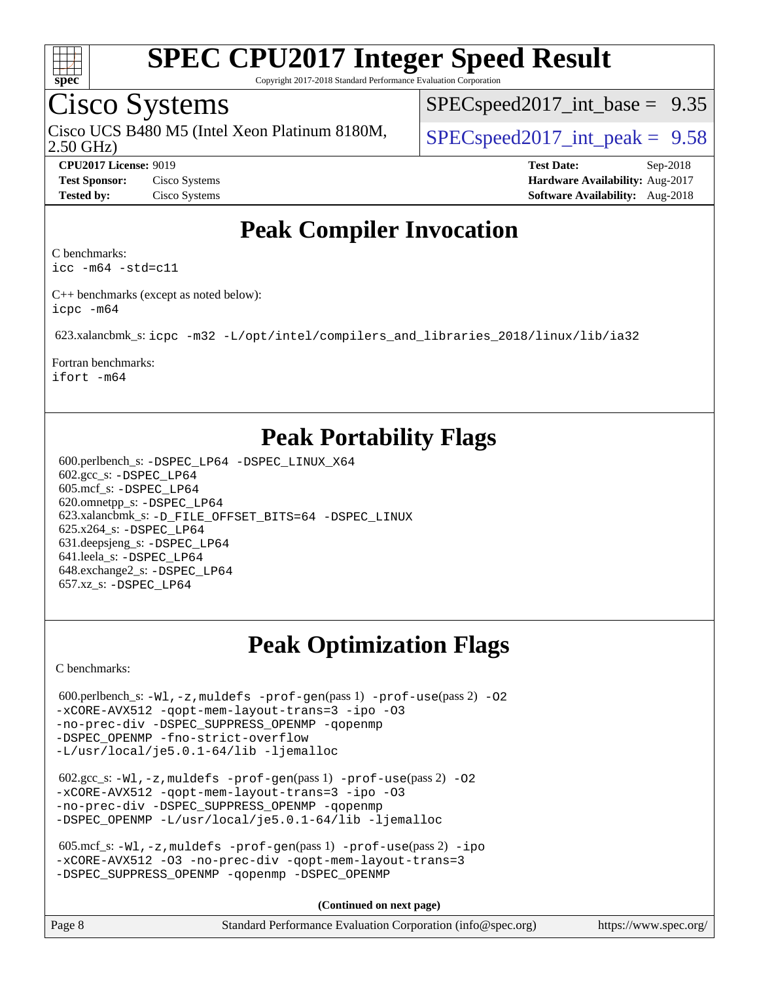

Copyright 2017-2018 Standard Performance Evaluation Corporation

### Cisco Systems

2.50 GHz) Cisco UCS B480 M5 (Intel Xeon Platinum 8180M,  $\big|$  [SPECspeed2017\\_int\\_peak =](http://www.spec.org/auto/cpu2017/Docs/result-fields.html#SPECspeed2017intpeak) 9.58

 $SPECspeed2017\_int\_base = 9.35$ 

**[CPU2017 License:](http://www.spec.org/auto/cpu2017/Docs/result-fields.html#CPU2017License)** 9019 **[Test Date:](http://www.spec.org/auto/cpu2017/Docs/result-fields.html#TestDate)** Sep-2018 **[Test Sponsor:](http://www.spec.org/auto/cpu2017/Docs/result-fields.html#TestSponsor)** Cisco Systems **[Hardware Availability:](http://www.spec.org/auto/cpu2017/Docs/result-fields.html#HardwareAvailability)** Aug-2017 **[Tested by:](http://www.spec.org/auto/cpu2017/Docs/result-fields.html#Testedby)** Cisco Systems **[Software Availability:](http://www.spec.org/auto/cpu2017/Docs/result-fields.html#SoftwareAvailability)** Aug-2018

### **[Peak Compiler Invocation](http://www.spec.org/auto/cpu2017/Docs/result-fields.html#PeakCompilerInvocation)**

[C benchmarks](http://www.spec.org/auto/cpu2017/Docs/result-fields.html#Cbenchmarks):

[icc -m64 -std=c11](http://www.spec.org/cpu2017/results/res2018q4/cpu2017-20180918-08909.flags.html#user_CCpeak_intel_icc_64bit_c11_33ee0cdaae7deeeab2a9725423ba97205ce30f63b9926c2519791662299b76a0318f32ddfffdc46587804de3178b4f9328c46fa7c2b0cd779d7a61945c91cd35)

[C++ benchmarks \(except as noted below\)](http://www.spec.org/auto/cpu2017/Docs/result-fields.html#CXXbenchmarksexceptasnotedbelow): [icpc -m64](http://www.spec.org/cpu2017/results/res2018q4/cpu2017-20180918-08909.flags.html#user_CXXpeak_intel_icpc_64bit_4ecb2543ae3f1412ef961e0650ca070fec7b7afdcd6ed48761b84423119d1bf6bdf5cad15b44d48e7256388bc77273b966e5eb805aefd121eb22e9299b2ec9d9)

623.xalancbmk\_s: [icpc -m32 -L/opt/intel/compilers\\_and\\_libraries\\_2018/linux/lib/ia32](http://www.spec.org/cpu2017/results/res2018q4/cpu2017-20180918-08909.flags.html#user_peakCXXLD623_xalancbmk_s_intel_icpc_49b8c4a2e52517df5e44233d8730ac3dfca5acbb5ef11df3347e50260a55109134bcb7fd2e543798dfd93e66566a4e08776ad3f7d40a4ff4276870c090f61f0e)

[Fortran benchmarks](http://www.spec.org/auto/cpu2017/Docs/result-fields.html#Fortranbenchmarks): [ifort -m64](http://www.spec.org/cpu2017/results/res2018q4/cpu2017-20180918-08909.flags.html#user_FCpeak_intel_ifort_64bit_24f2bb282fbaeffd6157abe4f878425411749daecae9a33200eee2bee2fe76f3b89351d69a8130dd5949958ce389cf37ff59a95e7a40d588e8d3a57e0c3fd751)

### **[Peak Portability Flags](http://www.spec.org/auto/cpu2017/Docs/result-fields.html#PeakPortabilityFlags)**

 600.perlbench\_s: [-DSPEC\\_LP64](http://www.spec.org/cpu2017/results/res2018q4/cpu2017-20180918-08909.flags.html#b600.perlbench_s_peakPORTABILITY_DSPEC_LP64) [-DSPEC\\_LINUX\\_X64](http://www.spec.org/cpu2017/results/res2018q4/cpu2017-20180918-08909.flags.html#b600.perlbench_s_peakCPORTABILITY_DSPEC_LINUX_X64) 602.gcc\_s: [-DSPEC\\_LP64](http://www.spec.org/cpu2017/results/res2018q4/cpu2017-20180918-08909.flags.html#suite_peakPORTABILITY602_gcc_s_DSPEC_LP64) 605.mcf\_s: [-DSPEC\\_LP64](http://www.spec.org/cpu2017/results/res2018q4/cpu2017-20180918-08909.flags.html#suite_peakPORTABILITY605_mcf_s_DSPEC_LP64) 620.omnetpp\_s: [-DSPEC\\_LP64](http://www.spec.org/cpu2017/results/res2018q4/cpu2017-20180918-08909.flags.html#suite_peakPORTABILITY620_omnetpp_s_DSPEC_LP64) 623.xalancbmk\_s: [-D\\_FILE\\_OFFSET\\_BITS=64](http://www.spec.org/cpu2017/results/res2018q4/cpu2017-20180918-08909.flags.html#user_peakPORTABILITY623_xalancbmk_s_file_offset_bits_64_5ae949a99b284ddf4e95728d47cb0843d81b2eb0e18bdfe74bbf0f61d0b064f4bda2f10ea5eb90e1dcab0e84dbc592acfc5018bc955c18609f94ddb8d550002c) [-DSPEC\\_LINUX](http://www.spec.org/cpu2017/results/res2018q4/cpu2017-20180918-08909.flags.html#b623.xalancbmk_s_peakCXXPORTABILITY_DSPEC_LINUX) 625.x264\_s: [-DSPEC\\_LP64](http://www.spec.org/cpu2017/results/res2018q4/cpu2017-20180918-08909.flags.html#suite_peakPORTABILITY625_x264_s_DSPEC_LP64) 631.deepsjeng\_s: [-DSPEC\\_LP64](http://www.spec.org/cpu2017/results/res2018q4/cpu2017-20180918-08909.flags.html#suite_peakPORTABILITY631_deepsjeng_s_DSPEC_LP64) 641.leela\_s: [-DSPEC\\_LP64](http://www.spec.org/cpu2017/results/res2018q4/cpu2017-20180918-08909.flags.html#suite_peakPORTABILITY641_leela_s_DSPEC_LP64) 648.exchange2\_s: [-DSPEC\\_LP64](http://www.spec.org/cpu2017/results/res2018q4/cpu2017-20180918-08909.flags.html#suite_peakPORTABILITY648_exchange2_s_DSPEC_LP64) 657.xz\_s: [-DSPEC\\_LP64](http://www.spec.org/cpu2017/results/res2018q4/cpu2017-20180918-08909.flags.html#suite_peakPORTABILITY657_xz_s_DSPEC_LP64)

### **[Peak Optimization Flags](http://www.spec.org/auto/cpu2017/Docs/result-fields.html#PeakOptimizationFlags)**

[C benchmarks](http://www.spec.org/auto/cpu2017/Docs/result-fields.html#Cbenchmarks):

```
600.perlbench_s: -W1, -z, muldefs -prof-gen(pass 1)-prof-use(pass 2) -02
-xCORE-AVX512 -qopt-mem-layout-trans=3 -ipo -O3
-no-prec-div -DSPEC_SUPPRESS_OPENMP -qopenmp
-DSPEC_OPENMP -fno-strict-overflow
-L/usr/local/je5.0.1-64/lib -ljemalloc
 602.gcc_s: -Wl,-z,muldefs -prof-gen(pass 1) -prof-use(pass 2) -O2
-xCORE-AVX512 -qopt-mem-layout-trans=3 -ipo -O3
-no-prec-div -DSPEC_SUPPRESS_OPENMP -qopenmp
-DSPEC_OPENMP -L/usr/local/je5.0.1-64/lib -ljemalloc
605.mcf_s: -W1, -z, muldefs -prof-qen(pass 1) -prof-use-ipo-xCORE-AVX512 -O3 -no-prec-div -qopt-mem-layout-trans=3
-DSPEC_SUPPRESS_OPENMP -qopenmp -DSPEC_OPENMP
                                     (Continued on next page)
```

| Page 8 | Standard Performance Evaluation Corporation (info@spec.org) | https://www.spec.org/ |
|--------|-------------------------------------------------------------|-----------------------|